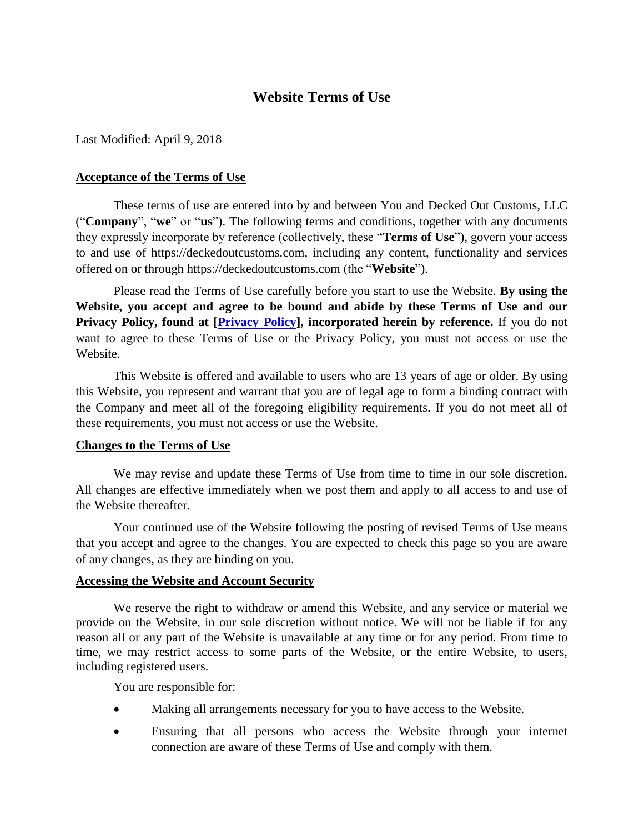# **Website Terms of Use**

Last Modified: April 9, 2018

### **Acceptance of the Terms of Use**

These terms of use are entered into by and between You and Decked Out Customs, LLC ("**Company**", "**we**" or "**us**"). The following terms and conditions, together with any documents they expressly incorporate by reference (collectively, these "**Terms of Use**"), govern your access to and use of https://deckedoutcustoms.com, including any content, functionality and services offered on or through https://deckedoutcustoms.com (the "**Website**").

Please read the Terms of Use carefully before you start to use the Website. **By using the Website, you accept and agree to be bound and abide by these Terms of Use and our Privacy Policy, found at [\[Privacy Policy\]](Decked%20Out%20Customs/Privacy%20Policy%20-%20Decked%20Out%20Customs,%20LLC.pdf), incorporated herein by reference.** If you do not want to agree to these Terms of Use or the Privacy Policy, you must not access or use the Website.

This Website is offered and available to users who are 13 years of age or older. By using this Website, you represent and warrant that you are of legal age to form a binding contract with the Company and meet all of the foregoing eligibility requirements. If you do not meet all of these requirements, you must not access or use the Website.

#### **Changes to the Terms of Use**

We may revise and update these Terms of Use from time to time in our sole discretion. All changes are effective immediately when we post them and apply to all access to and use of the Website thereafter.

Your continued use of the Website following the posting of revised Terms of Use means that you accept and agree to the changes. You are expected to check this page so you are aware of any changes, as they are binding on you.

#### **Accessing the Website and Account Security**

We reserve the right to withdraw or amend this Website, and any service or material we provide on the Website, in our sole discretion without notice. We will not be liable if for any reason all or any part of the Website is unavailable at any time or for any period. From time to time, we may restrict access to some parts of the Website, or the entire Website, to users, including registered users.

You are responsible for:

- Making all arrangements necessary for you to have access to the Website.
- Ensuring that all persons who access the Website through your internet connection are aware of these Terms of Use and comply with them.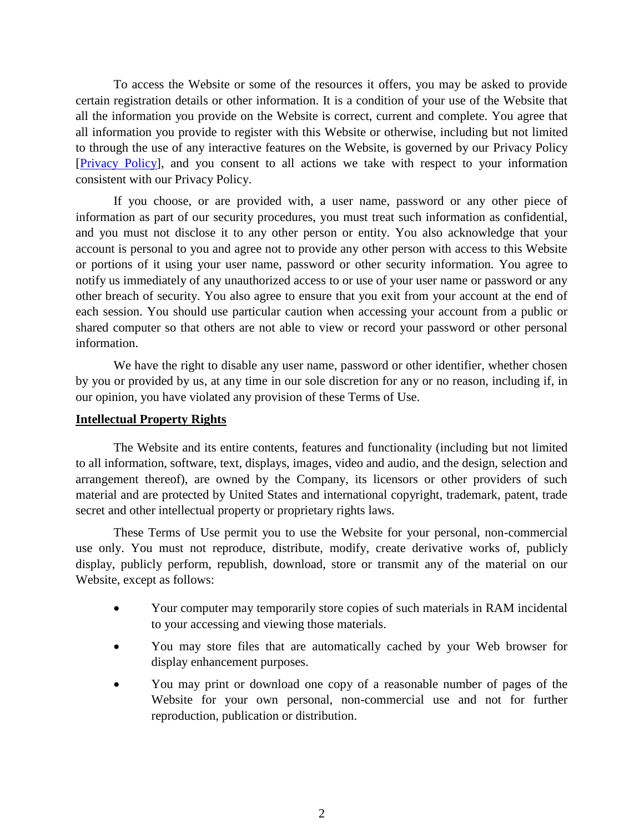To access the Website or some of the resources it offers, you may be asked to provide certain registration details or other information. It is a condition of your use of the Website that all the information you provide on the Website is correct, current and complete. You agree that all information you provide to register with this Website or otherwise, including but not limited to through the use of any interactive features on the Website, is governed by our Privacy Policy [\[Privacy Policy\]](Decked%20Out%20Customs/Privacy%20Policy%20-%20Decked%20Out%20Customs,%20LLC.pdf), and you consent to all actions we take with respect to your information consistent with our Privacy Policy.

If you choose, or are provided with, a user name, password or any other piece of information as part of our security procedures, you must treat such information as confidential, and you must not disclose it to any other person or entity. You also acknowledge that your account is personal to you and agree not to provide any other person with access to this Website or portions of it using your user name, password or other security information. You agree to notify us immediately of any unauthorized access to or use of your user name or password or any other breach of security. You also agree to ensure that you exit from your account at the end of each session. You should use particular caution when accessing your account from a public or shared computer so that others are not able to view or record your password or other personal information.

We have the right to disable any user name, password or other identifier, whether chosen by you or provided by us, at any time in our sole discretion for any or no reason, including if, in our opinion, you have violated any provision of these Terms of Use.

#### **Intellectual Property Rights**

The Website and its entire contents, features and functionality (including but not limited to all information, software, text, displays, images, video and audio, and the design, selection and arrangement thereof), are owned by the Company, its licensors or other providers of such material and are protected by United States and international copyright, trademark, patent, trade secret and other intellectual property or proprietary rights laws.

These Terms of Use permit you to use the Website for your personal, non-commercial use only. You must not reproduce, distribute, modify, create derivative works of, publicly display, publicly perform, republish, download, store or transmit any of the material on our Website, except as follows:

- Your computer may temporarily store copies of such materials in RAM incidental to your accessing and viewing those materials.
- You may store files that are automatically cached by your Web browser for display enhancement purposes.
- You may print or download one copy of a reasonable number of pages of the Website for your own personal, non-commercial use and not for further reproduction, publication or distribution.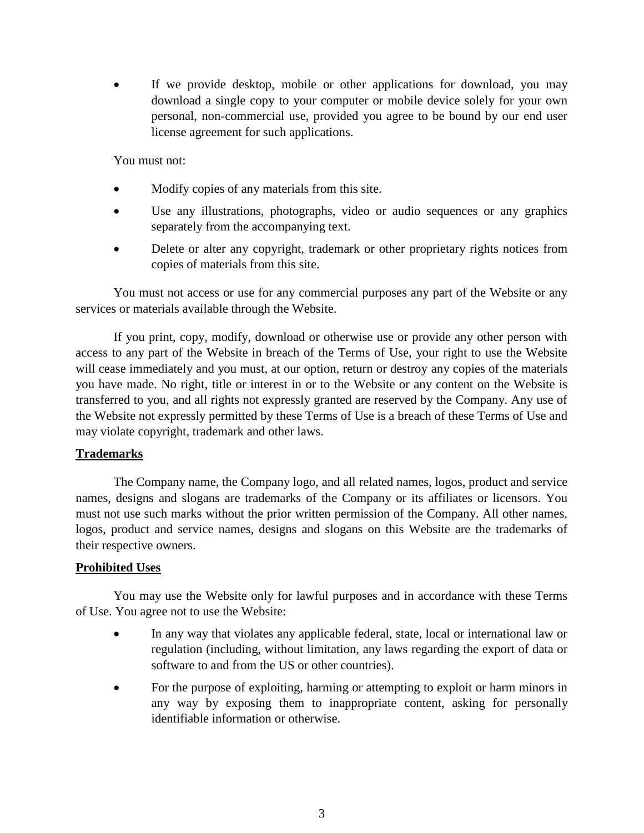If we provide desktop, mobile or other applications for download, you may download a single copy to your computer or mobile device solely for your own personal, non-commercial use, provided you agree to be bound by our end user license agreement for such applications.

You must not:

- Modify copies of any materials from this site.
- Use any illustrations, photographs, video or audio sequences or any graphics separately from the accompanying text.
- Delete or alter any copyright, trademark or other proprietary rights notices from copies of materials from this site.

You must not access or use for any commercial purposes any part of the Website or any services or materials available through the Website.

If you print, copy, modify, download or otherwise use or provide any other person with access to any part of the Website in breach of the Terms of Use, your right to use the Website will cease immediately and you must, at our option, return or destroy any copies of the materials you have made. No right, title or interest in or to the Website or any content on the Website is transferred to you, and all rights not expressly granted are reserved by the Company. Any use of the Website not expressly permitted by these Terms of Use is a breach of these Terms of Use and may violate copyright, trademark and other laws.

### **Trademarks**

The Company name, the Company logo, and all related names, logos, product and service names, designs and slogans are trademarks of the Company or its affiliates or licensors. You must not use such marks without the prior written permission of the Company. All other names, logos, product and service names, designs and slogans on this Website are the trademarks of their respective owners.

### **Prohibited Uses**

You may use the Website only for lawful purposes and in accordance with these Terms of Use. You agree not to use the Website:

- In any way that violates any applicable federal, state, local or international law or regulation (including, without limitation, any laws regarding the export of data or software to and from the US or other countries).
- For the purpose of exploiting, harming or attempting to exploit or harm minors in any way by exposing them to inappropriate content, asking for personally identifiable information or otherwise.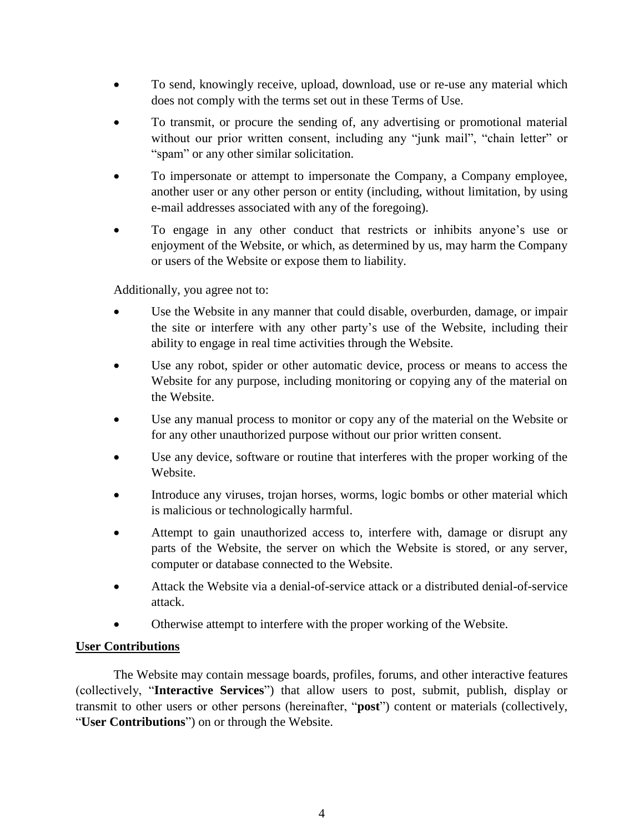- To send, knowingly receive, upload, download, use or re-use any material which does not comply with the terms set out in these Terms of Use.
- To transmit, or procure the sending of, any advertising or promotional material without our prior written consent, including any "junk mail", "chain letter" or "spam" or any other similar solicitation.
- To impersonate or attempt to impersonate the Company, a Company employee, another user or any other person or entity (including, without limitation, by using e-mail addresses associated with any of the foregoing).
- To engage in any other conduct that restricts or inhibits anyone's use or enjoyment of the Website, or which, as determined by us, may harm the Company or users of the Website or expose them to liability.

Additionally, you agree not to:

- Use the Website in any manner that could disable, overburden, damage, or impair the site or interfere with any other party's use of the Website, including their ability to engage in real time activities through the Website.
- Use any robot, spider or other automatic device, process or means to access the Website for any purpose, including monitoring or copying any of the material on the Website.
- Use any manual process to monitor or copy any of the material on the Website or for any other unauthorized purpose without our prior written consent.
- Use any device, software or routine that interferes with the proper working of the Website.
- Introduce any viruses, trojan horses, worms, logic bombs or other material which is malicious or technologically harmful.
- Attempt to gain unauthorized access to, interfere with, damage or disrupt any parts of the Website, the server on which the Website is stored, or any server, computer or database connected to the Website.
- Attack the Website via a denial-of-service attack or a distributed denial-of-service attack.
- Otherwise attempt to interfere with the proper working of the Website.

## **User Contributions**

The Website may contain message boards, profiles, forums, and other interactive features (collectively, "**Interactive Services**") that allow users to post, submit, publish, display or transmit to other users or other persons (hereinafter, "**post**") content or materials (collectively, "**User Contributions**") on or through the Website.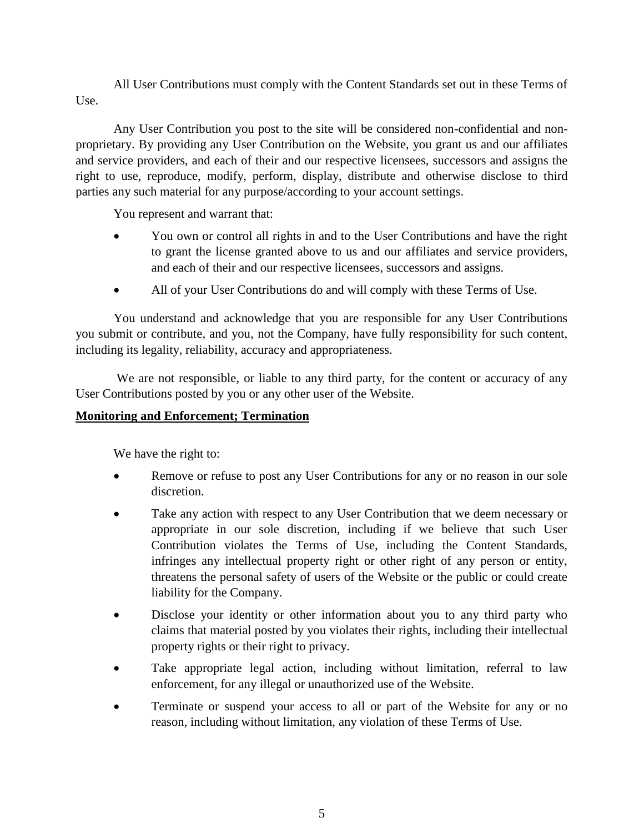All User Contributions must comply with the Content Standards set out in these Terms of Use.

Any User Contribution you post to the site will be considered non-confidential and nonproprietary. By providing any User Contribution on the Website, you grant us and our affiliates and service providers, and each of their and our respective licensees, successors and assigns the right to use, reproduce, modify, perform, display, distribute and otherwise disclose to third parties any such material for any purpose/according to your account settings.

You represent and warrant that:

- You own or control all rights in and to the User Contributions and have the right to grant the license granted above to us and our affiliates and service providers, and each of their and our respective licensees, successors and assigns.
- All of your User Contributions do and will comply with these Terms of Use.

You understand and acknowledge that you are responsible for any User Contributions you submit or contribute, and you, not the Company, have fully responsibility for such content, including its legality, reliability, accuracy and appropriateness.

We are not responsible, or liable to any third party, for the content or accuracy of any User Contributions posted by you or any other user of the Website.

### **Monitoring and Enforcement; Termination**

We have the right to:

- Remove or refuse to post any User Contributions for any or no reason in our sole discretion.
- Take any action with respect to any User Contribution that we deem necessary or appropriate in our sole discretion, including if we believe that such User Contribution violates the Terms of Use, including the Content Standards, infringes any intellectual property right or other right of any person or entity, threatens the personal safety of users of the Website or the public or could create liability for the Company.
- Disclose your identity or other information about you to any third party who claims that material posted by you violates their rights, including their intellectual property rights or their right to privacy.
- Take appropriate legal action, including without limitation, referral to law enforcement, for any illegal or unauthorized use of the Website.
- Terminate or suspend your access to all or part of the Website for any or no reason, including without limitation, any violation of these Terms of Use.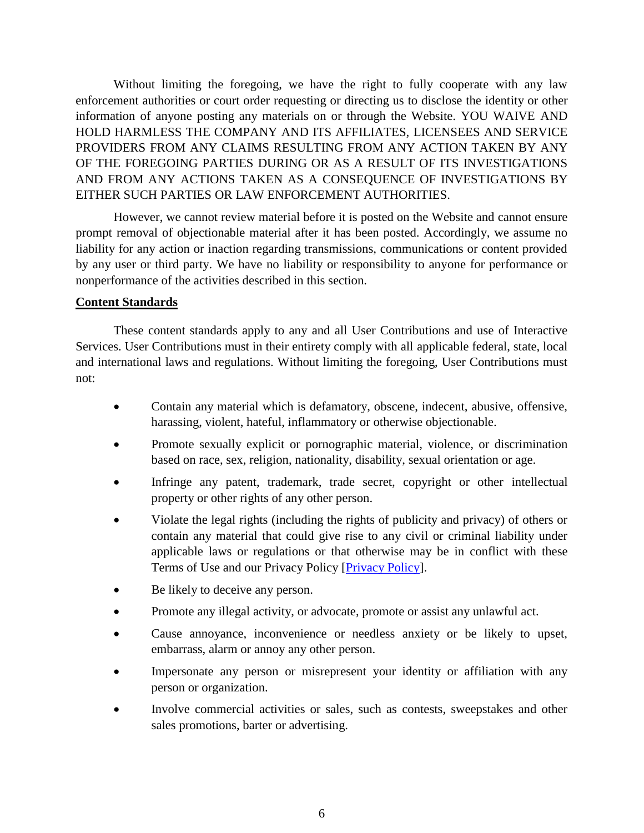Without limiting the foregoing, we have the right to fully cooperate with any law enforcement authorities or court order requesting or directing us to disclose the identity or other information of anyone posting any materials on or through the Website. YOU WAIVE AND HOLD HARMLESS THE COMPANY AND ITS AFFILIATES, LICENSEES AND SERVICE PROVIDERS FROM ANY CLAIMS RESULTING FROM ANY ACTION TAKEN BY ANY OF THE FOREGOING PARTIES DURING OR AS A RESULT OF ITS INVESTIGATIONS AND FROM ANY ACTIONS TAKEN AS A CONSEQUENCE OF INVESTIGATIONS BY EITHER SUCH PARTIES OR LAW ENFORCEMENT AUTHORITIES.

However, we cannot review material before it is posted on the Website and cannot ensure prompt removal of objectionable material after it has been posted. Accordingly, we assume no liability for any action or inaction regarding transmissions, communications or content provided by any user or third party. We have no liability or responsibility to anyone for performance or nonperformance of the activities described in this section.

### **Content Standards**

These content standards apply to any and all User Contributions and use of Interactive Services. User Contributions must in their entirety comply with all applicable federal, state, local and international laws and regulations. Without limiting the foregoing, User Contributions must not:

- Contain any material which is defamatory, obscene, indecent, abusive, offensive, harassing, violent, hateful, inflammatory or otherwise objectionable.
- Promote sexually explicit or pornographic material, violence, or discrimination based on race, sex, religion, nationality, disability, sexual orientation or age.
- Infringe any patent, trademark, trade secret, copyright or other intellectual property or other rights of any other person.
- Violate the legal rights (including the rights of publicity and privacy) of others or contain any material that could give rise to any civil or criminal liability under applicable laws or regulations or that otherwise may be in conflict with these Terms of Use and our Privacy Policy [\[Privacy Policy\]](Decked%20Out%20Customs/Privacy%20Policy%20-%20Decked%20Out%20Customs,%20LLC.pdf).
- Be likely to deceive any person.
- Promote any illegal activity, or advocate, promote or assist any unlawful act.
- Cause annoyance, inconvenience or needless anxiety or be likely to upset, embarrass, alarm or annoy any other person.
- Impersonate any person or misrepresent your identity or affiliation with any person or organization.
- Involve commercial activities or sales, such as contests, sweepstakes and other sales promotions, barter or advertising.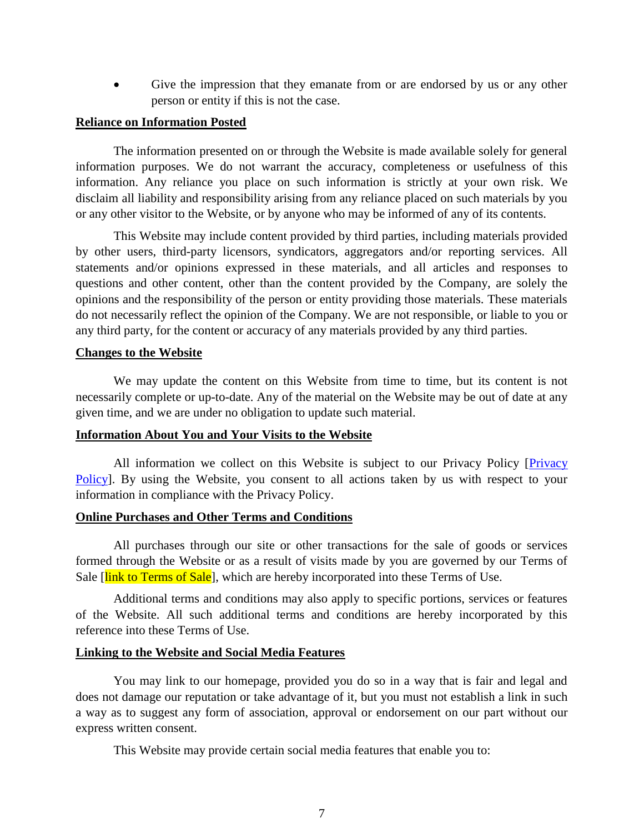• Give the impression that they emanate from or are endorsed by us or any other person or entity if this is not the case.

#### **Reliance on Information Posted**

The information presented on or through the Website is made available solely for general information purposes. We do not warrant the accuracy, completeness or usefulness of this information. Any reliance you place on such information is strictly at your own risk. We disclaim all liability and responsibility arising from any reliance placed on such materials by you or any other visitor to the Website, or by anyone who may be informed of any of its contents.

This Website may include content provided by third parties, including materials provided by other users, third-party licensors, syndicators, aggregators and/or reporting services. All statements and/or opinions expressed in these materials, and all articles and responses to questions and other content, other than the content provided by the Company, are solely the opinions and the responsibility of the person or entity providing those materials. These materials do not necessarily reflect the opinion of the Company. We are not responsible, or liable to you or any third party, for the content or accuracy of any materials provided by any third parties.

#### **Changes to the Website**

We may update the content on this Website from time to time, but its content is not necessarily complete or up-to-date. Any of the material on the Website may be out of date at any given time, and we are under no obligation to update such material.

#### **Information About You and Your Visits to the Website**

All information we collect on this Website is subject to our Privacy Policy [\[Privacy](Decked%20Out%20Customs/Privacy%20Policy%20-%20Decked%20Out%20Customs,%20LLC.pdf)  [Policy\]](Decked%20Out%20Customs/Privacy%20Policy%20-%20Decked%20Out%20Customs,%20LLC.pdf). By using the Website, you consent to all actions taken by us with respect to your information in compliance with the Privacy Policy.

#### **Online Purchases and Other Terms and Conditions**

All purchases through our site or other transactions for the sale of goods or services formed through the Website or as a result of visits made by you are governed by our Terms of Sale [link to Terms of Sale], which are hereby incorporated into these Terms of Use.

Additional terms and conditions may also apply to specific portions, services or features of the Website. All such additional terms and conditions are hereby incorporated by this reference into these Terms of Use.

#### **Linking to the Website and Social Media Features**

You may link to our homepage, provided you do so in a way that is fair and legal and does not damage our reputation or take advantage of it, but you must not establish a link in such a way as to suggest any form of association, approval or endorsement on our part without our express written consent.

This Website may provide certain social media features that enable you to: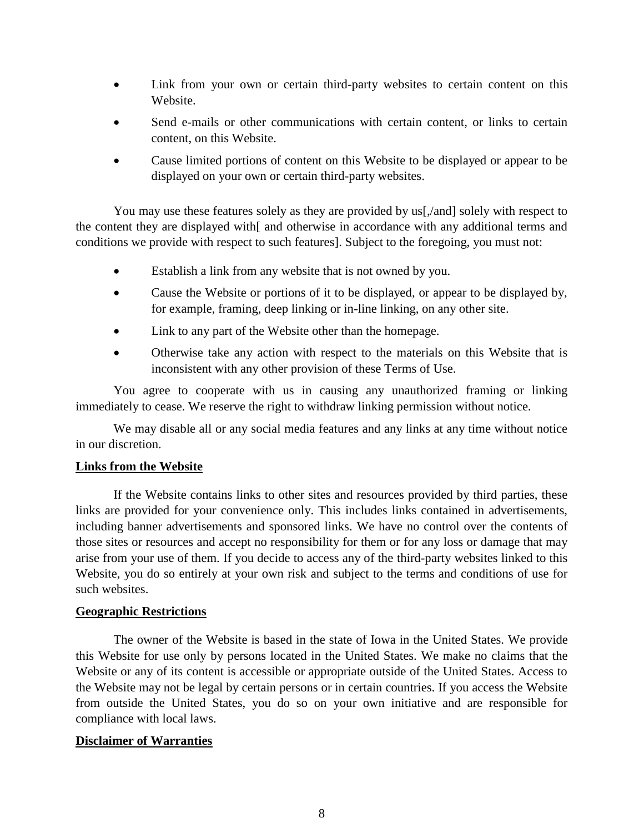- Link from your own or certain third-party websites to certain content on this Website.
- Send e-mails or other communications with certain content, or links to certain content, on this Website.
- Cause limited portions of content on this Website to be displayed or appear to be displayed on your own or certain third-party websites.

You may use these features solely as they are provided by us[, and solely with respect to the content they are displayed with[ and otherwise in accordance with any additional terms and conditions we provide with respect to such features]. Subject to the foregoing, you must not:

- Establish a link from any website that is not owned by you.
- Cause the Website or portions of it to be displayed, or appear to be displayed by, for example, framing, deep linking or in-line linking, on any other site.
- Link to any part of the Website other than the homepage.
- Otherwise take any action with respect to the materials on this Website that is inconsistent with any other provision of these Terms of Use.

You agree to cooperate with us in causing any unauthorized framing or linking immediately to cease. We reserve the right to withdraw linking permission without notice.

We may disable all or any social media features and any links at any time without notice in our discretion.

#### **Links from the Website**

If the Website contains links to other sites and resources provided by third parties, these links are provided for your convenience only. This includes links contained in advertisements, including banner advertisements and sponsored links. We have no control over the contents of those sites or resources and accept no responsibility for them or for any loss or damage that may arise from your use of them. If you decide to access any of the third-party websites linked to this Website, you do so entirely at your own risk and subject to the terms and conditions of use for such websites.

### **Geographic Restrictions**

The owner of the Website is based in the state of Iowa in the United States. We provide this Website for use only by persons located in the United States. We make no claims that the Website or any of its content is accessible or appropriate outside of the United States. Access to the Website may not be legal by certain persons or in certain countries. If you access the Website from outside the United States, you do so on your own initiative and are responsible for compliance with local laws.

#### **Disclaimer of Warranties**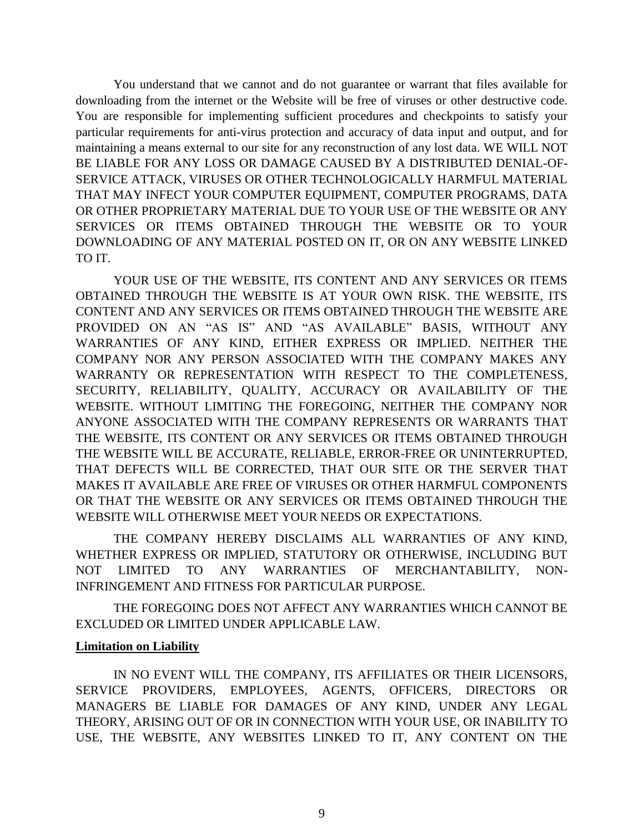You understand that we cannot and do not guarantee or warrant that files available for downloading from the internet or the Website will be free of viruses or other destructive code. You are responsible for implementing sufficient procedures and checkpoints to satisfy your particular requirements for anti-virus protection and accuracy of data input and output, and for maintaining a means external to our site for any reconstruction of any lost data. WE WILL NOT BE LIABLE FOR ANY LOSS OR DAMAGE CAUSED BY A DISTRIBUTED DENIAL-OF-SERVICE ATTACK, VIRUSES OR OTHER TECHNOLOGICALLY HARMFUL MATERIAL THAT MAY INFECT YOUR COMPUTER EQUIPMENT, COMPUTER PROGRAMS, DATA OR OTHER PROPRIETARY MATERIAL DUE TO YOUR USE OF THE WEBSITE OR ANY SERVICES OR ITEMS OBTAINED THROUGH THE WEBSITE OR TO YOUR DOWNLOADING OF ANY MATERIAL POSTED ON IT, OR ON ANY WEBSITE LINKED TO IT.

YOUR USE OF THE WEBSITE, ITS CONTENT AND ANY SERVICES OR ITEMS OBTAINED THROUGH THE WEBSITE IS AT YOUR OWN RISK. THE WEBSITE, ITS CONTENT AND ANY SERVICES OR ITEMS OBTAINED THROUGH THE WEBSITE ARE PROVIDED ON AN "AS IS" AND "AS AVAILABLE" BASIS, WITHOUT ANY WARRANTIES OF ANY KIND, EITHER EXPRESS OR IMPLIED. NEITHER THE COMPANY NOR ANY PERSON ASSOCIATED WITH THE COMPANY MAKES ANY WARRANTY OR REPRESENTATION WITH RESPECT TO THE COMPLETENESS, SECURITY, RELIABILITY, QUALITY, ACCURACY OR AVAILABILITY OF THE WEBSITE. WITHOUT LIMITING THE FOREGOING, NEITHER THE COMPANY NOR ANYONE ASSOCIATED WITH THE COMPANY REPRESENTS OR WARRANTS THAT THE WEBSITE, ITS CONTENT OR ANY SERVICES OR ITEMS OBTAINED THROUGH THE WEBSITE WILL BE ACCURATE, RELIABLE, ERROR-FREE OR UNINTERRUPTED, THAT DEFECTS WILL BE CORRECTED, THAT OUR SITE OR THE SERVER THAT MAKES IT AVAILABLE ARE FREE OF VIRUSES OR OTHER HARMFUL COMPONENTS OR THAT THE WEBSITE OR ANY SERVICES OR ITEMS OBTAINED THROUGH THE WEBSITE WILL OTHERWISE MEET YOUR NEEDS OR EXPECTATIONS.

THE COMPANY HEREBY DISCLAIMS ALL WARRANTIES OF ANY KIND, WHETHER EXPRESS OR IMPLIED, STATUTORY OR OTHERWISE, INCLUDING BUT NOT LIMITED TO ANY WARRANTIES OF MERCHANTABILITY, NON-INFRINGEMENT AND FITNESS FOR PARTICULAR PURPOSE.

THE FOREGOING DOES NOT AFFECT ANY WARRANTIES WHICH CANNOT BE EXCLUDED OR LIMITED UNDER APPLICABLE LAW.

### **Limitation on Liability**

IN NO EVENT WILL THE COMPANY, ITS AFFILIATES OR THEIR LICENSORS, SERVICE PROVIDERS, EMPLOYEES, AGENTS, OFFICERS, DIRECTORS OR MANAGERS BE LIABLE FOR DAMAGES OF ANY KIND, UNDER ANY LEGAL THEORY, ARISING OUT OF OR IN CONNECTION WITH YOUR USE, OR INABILITY TO USE, THE WEBSITE, ANY WEBSITES LINKED TO IT, ANY CONTENT ON THE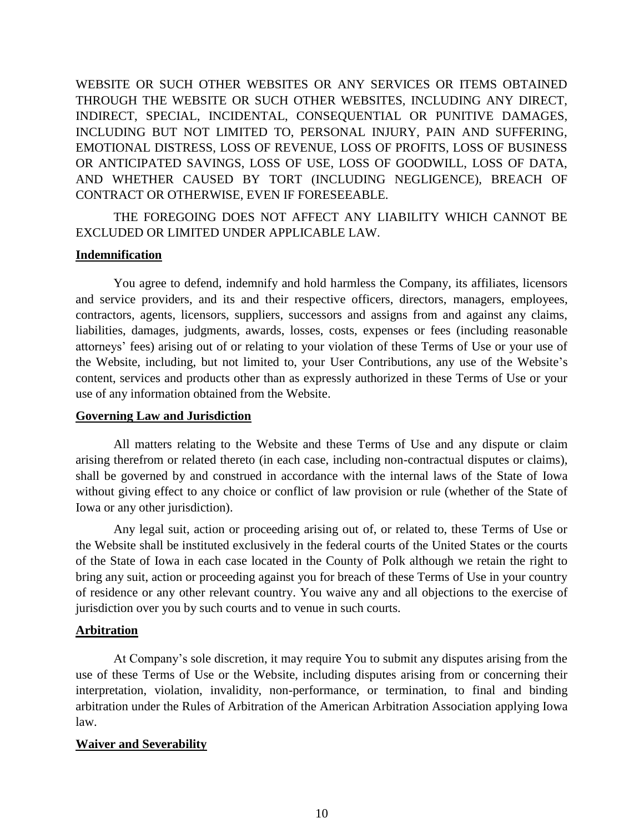WEBSITE OR SUCH OTHER WEBSITES OR ANY SERVICES OR ITEMS OBTAINED THROUGH THE WEBSITE OR SUCH OTHER WEBSITES, INCLUDING ANY DIRECT, INDIRECT, SPECIAL, INCIDENTAL, CONSEQUENTIAL OR PUNITIVE DAMAGES, INCLUDING BUT NOT LIMITED TO, PERSONAL INJURY, PAIN AND SUFFERING, EMOTIONAL DISTRESS, LOSS OF REVENUE, LOSS OF PROFITS, LOSS OF BUSINESS OR ANTICIPATED SAVINGS, LOSS OF USE, LOSS OF GOODWILL, LOSS OF DATA, AND WHETHER CAUSED BY TORT (INCLUDING NEGLIGENCE), BREACH OF CONTRACT OR OTHERWISE, EVEN IF FORESEEABLE.

THE FOREGOING DOES NOT AFFECT ANY LIABILITY WHICH CANNOT BE EXCLUDED OR LIMITED UNDER APPLICABLE LAW.

#### **Indemnification**

You agree to defend, indemnify and hold harmless the Company, its affiliates, licensors and service providers, and its and their respective officers, directors, managers, employees, contractors, agents, licensors, suppliers, successors and assigns from and against any claims, liabilities, damages, judgments, awards, losses, costs, expenses or fees (including reasonable attorneys' fees) arising out of or relating to your violation of these Terms of Use or your use of the Website, including, but not limited to, your User Contributions, any use of the Website's content, services and products other than as expressly authorized in these Terms of Use or your use of any information obtained from the Website.

#### **Governing Law and Jurisdiction**

All matters relating to the Website and these Terms of Use and any dispute or claim arising therefrom or related thereto (in each case, including non-contractual disputes or claims), shall be governed by and construed in accordance with the internal laws of the State of Iowa without giving effect to any choice or conflict of law provision or rule (whether of the State of Iowa or any other jurisdiction).

Any legal suit, action or proceeding arising out of, or related to, these Terms of Use or the Website shall be instituted exclusively in the federal courts of the United States or the courts of the State of Iowa in each case located in the County of Polk although we retain the right to bring any suit, action or proceeding against you for breach of these Terms of Use in your country of residence or any other relevant country. You waive any and all objections to the exercise of jurisdiction over you by such courts and to venue in such courts.

#### **Arbitration**

At Company's sole discretion, it may require You to submit any disputes arising from the use of these Terms of Use or the Website, including disputes arising from or concerning their interpretation, violation, invalidity, non-performance, or termination, to final and binding arbitration under the Rules of Arbitration of the American Arbitration Association applying Iowa law.

#### **Waiver and Severability**